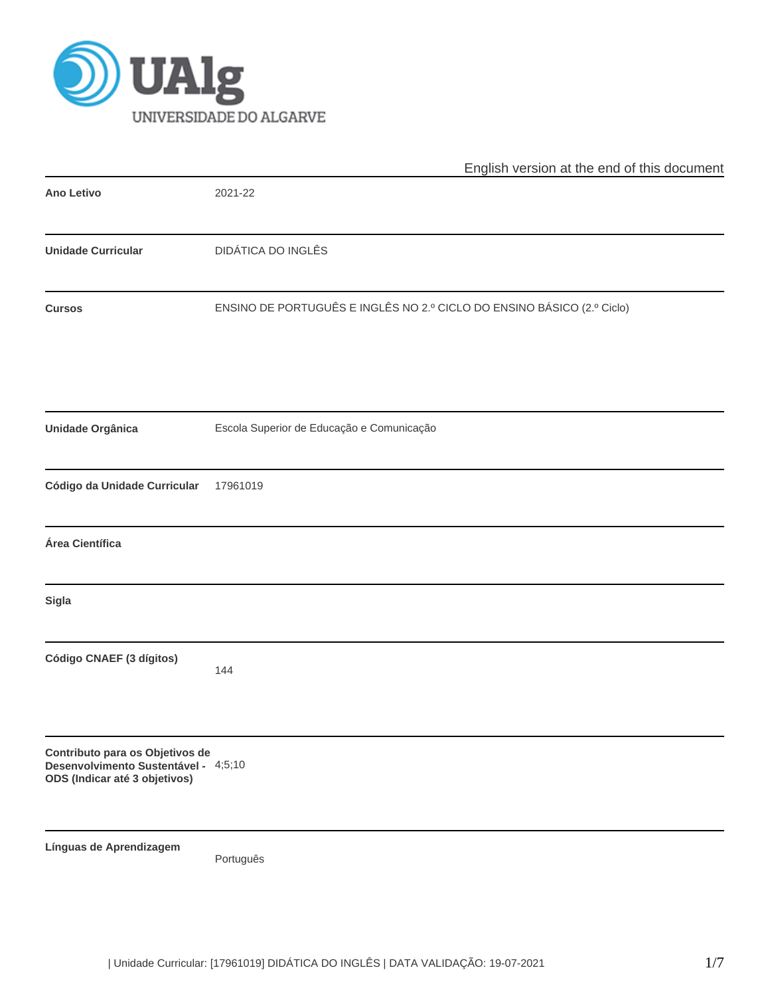

|                                                                                                          | English version at the end of this document                            |  |  |  |  |  |  |
|----------------------------------------------------------------------------------------------------------|------------------------------------------------------------------------|--|--|--|--|--|--|
| <b>Ano Letivo</b>                                                                                        | 2021-22                                                                |  |  |  |  |  |  |
| <b>Unidade Curricular</b>                                                                                | <b>DIDÁTICA DO INGLÊS</b>                                              |  |  |  |  |  |  |
| <b>Cursos</b>                                                                                            | ENSINO DE PORTUGUÊS E INGLÊS NO 2.º CICLO DO ENSINO BÁSICO (2.º Ciclo) |  |  |  |  |  |  |
| Unidade Orgânica                                                                                         | Escola Superior de Educação e Comunicação                              |  |  |  |  |  |  |
| Código da Unidade Curricular                                                                             | 17961019                                                               |  |  |  |  |  |  |
| Área Científica                                                                                          |                                                                        |  |  |  |  |  |  |
| Sigla                                                                                                    |                                                                        |  |  |  |  |  |  |
| Código CNAEF (3 dígitos)                                                                                 | 144                                                                    |  |  |  |  |  |  |
| Contributo para os Objetivos de<br>Desenvolvimento Sustentável - 4;5;10<br>ODS (Indicar até 3 objetivos) |                                                                        |  |  |  |  |  |  |
| Línguas de Aprendizagem                                                                                  | Português                                                              |  |  |  |  |  |  |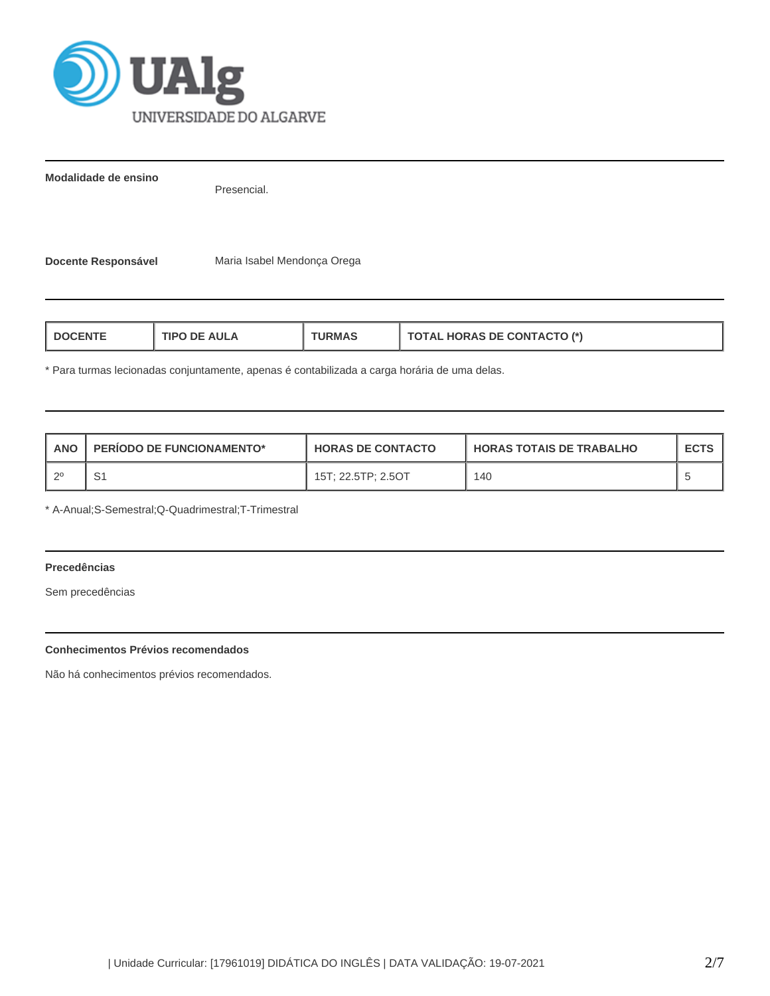

**Modalidade de ensino**

Presencial.

**Docente Responsável** Maria Isabel Mendonça Orega

| <b>TOTAL HORAS DE CONTACTO (*)</b><br>TIPO DE AULA<br>L DOCENTE<br>'JRMAS |  |
|---------------------------------------------------------------------------|--|
|---------------------------------------------------------------------------|--|

\* Para turmas lecionadas conjuntamente, apenas é contabilizada a carga horária de uma delas.

| ANO | <b>PERIODO DE FUNCIONAMENTO*</b> | <b>HORAS DE CONTACTO</b> | <b>HORAS TOTAIS DE TRABALHO</b> | <b>ECTS</b> |
|-----|----------------------------------|--------------------------|---------------------------------|-------------|
|     | c,<br>ا ب                        | 15T; 22.5TP; 2.5OT       | 140                             |             |

\* A-Anual;S-Semestral;Q-Quadrimestral;T-Trimestral

# **Precedências**

Sem precedências

## **Conhecimentos Prévios recomendados**

Não há conhecimentos prévios recomendados.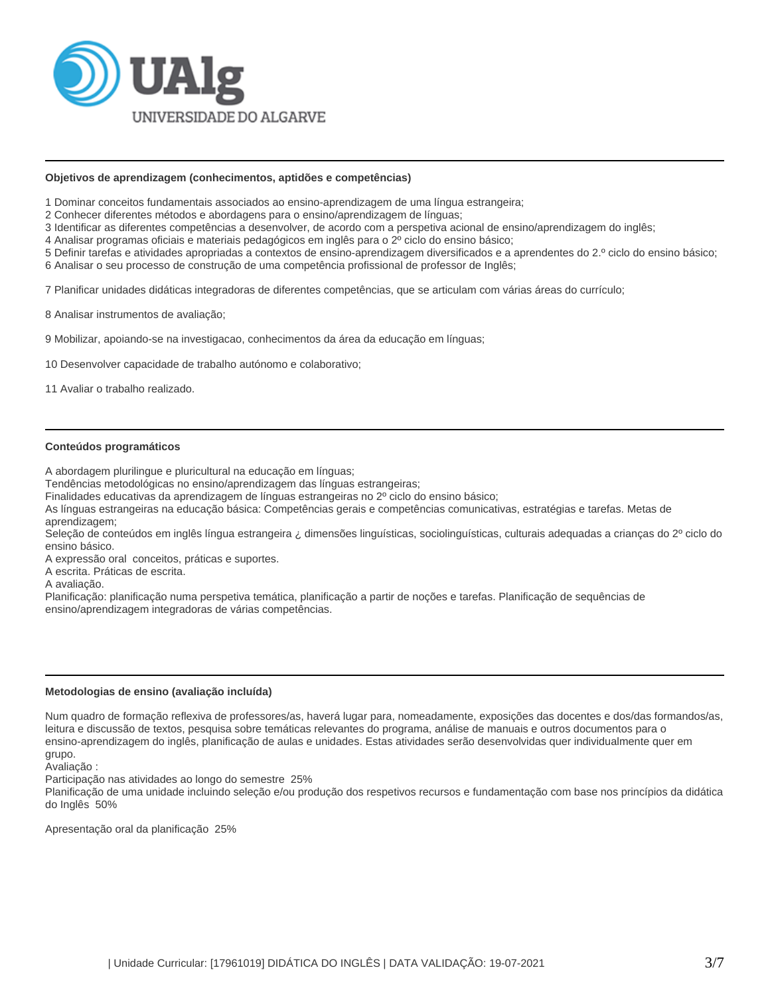

#### **Objetivos de aprendizagem (conhecimentos, aptidões e competências)**

1 Dominar conceitos fundamentais associados ao ensino-aprendizagem de uma língua estrangeira;

2 Conhecer diferentes métodos e abordagens para o ensino/aprendizagem de línguas;

3 Identificar as diferentes competências a desenvolver, de acordo com a perspetiva acional de ensino/aprendizagem do inglês;

4 Analisar programas oficiais e materiais pedagógicos em inglês para o 2º ciclo do ensino básico;

5 Definir tarefas e atividades apropriadas a contextos de ensino-aprendizagem diversificados e a aprendentes do 2.º ciclo do ensino básico; 6 Analisar o seu processo de construção de uma competência profissional de professor de Inglês;

7 Planificar unidades didáticas integradoras de diferentes competências, que se articulam com várias áreas do currículo;

8 Analisar instrumentos de avaliação;

9 Mobilizar, apoiando-se na investigacao, conhecimentos da área da educação em línguas;

10 Desenvolver capacidade de trabalho autónomo e colaborativo;

11 Avaliar o trabalho realizado.

#### **Conteúdos programáticos**

A abordagem plurilingue e pluricultural na educação em línguas;

Tendências metodológicas no ensino/aprendizagem das línguas estrangeiras;

Finalidades educativas da aprendizagem de línguas estrangeiras no 2º ciclo do ensino básico;

As línguas estrangeiras na educação básica: Competências gerais e competências comunicativas, estratégias e tarefas. Metas de aprendizagem;

Seleção de conteúdos em inglês língua estrangeira ¿ dimensões linguísticas, sociolinguísticas, culturais adequadas a crianças do 2º ciclo do ensino básico.

A expressão oral conceitos, práticas e suportes.

A escrita. Práticas de escrita.

A avaliação.

Planificação: planificação numa perspetiva temática, planificação a partir de noções e tarefas. Planificação de sequências de ensino/aprendizagem integradoras de várias competências.

#### **Metodologias de ensino (avaliação incluída)**

Num quadro de formação reflexiva de professores/as, haverá lugar para, nomeadamente, exposições das docentes e dos/das formandos/as, leitura e discussão de textos, pesquisa sobre temáticas relevantes do programa, análise de manuais e outros documentos para o ensino-aprendizagem do inglês, planificação de aulas e unidades. Estas atividades serão desenvolvidas quer individualmente quer em grupo.

Avaliação :

Participação nas atividades ao longo do semestre 25%

Planificação de uma unidade incluindo seleção e/ou produção dos respetivos recursos e fundamentação com base nos princípios da didática do Inglês 50%

Apresentação oral da planificação 25%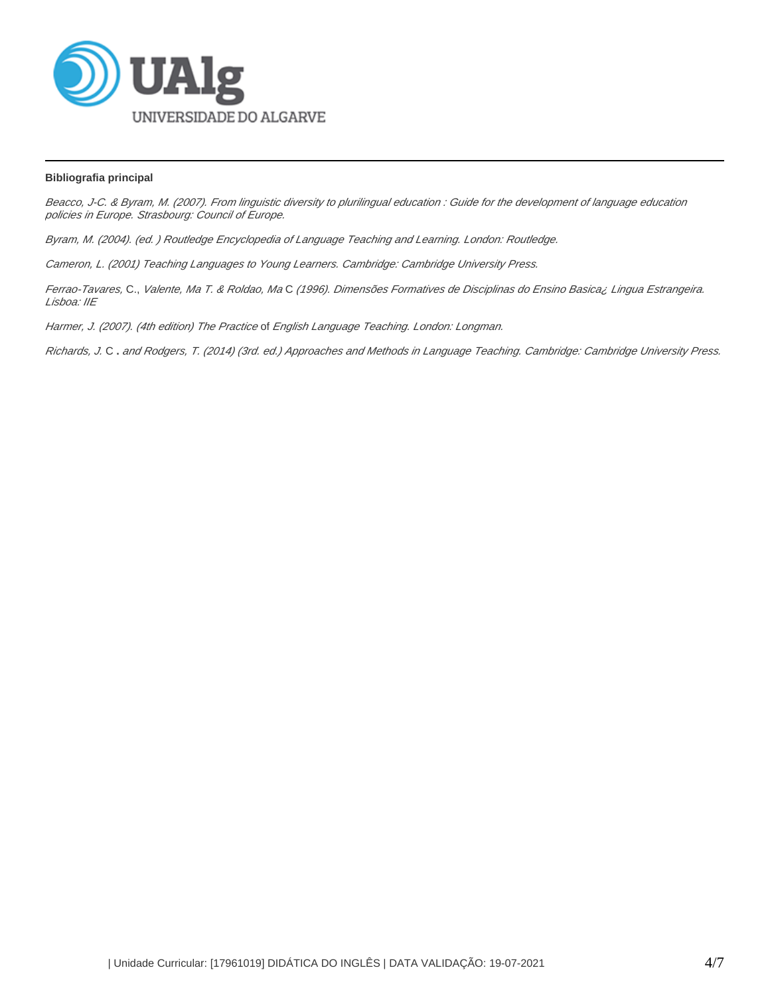

## **Bibliografia principal**

Beacco, J-C. & Byram, M. (2007). From linguistic diversity to plurilingual education : Guide for the development of language education policies in Europe. Strasbourg: Council of Europe.

Byram, M. (2004). (ed. ) Routledge Encyclopedia of Language Teaching and Learning. London: Routledge.

Cameron, L. (2001) Teaching Languages to Young Learners. Cambridge: Cambridge University Press.

Ferrao-Tavares, C., Valente, Ma T. & Roldao, Ma C (1996). Dimensões Formatives de Disciplinas do Ensino Basica¿ Lingua Estrangeira. Lisboa: IIE

Harmer, J. (2007). (4th edition) The Practice of English Language Teaching. London: Longman.

Richards, J. C **.** and Rodgers, T. (2014) (3rd. ed.) Approaches and Methods in Language Teaching. Cambridge: Cambridge University Press.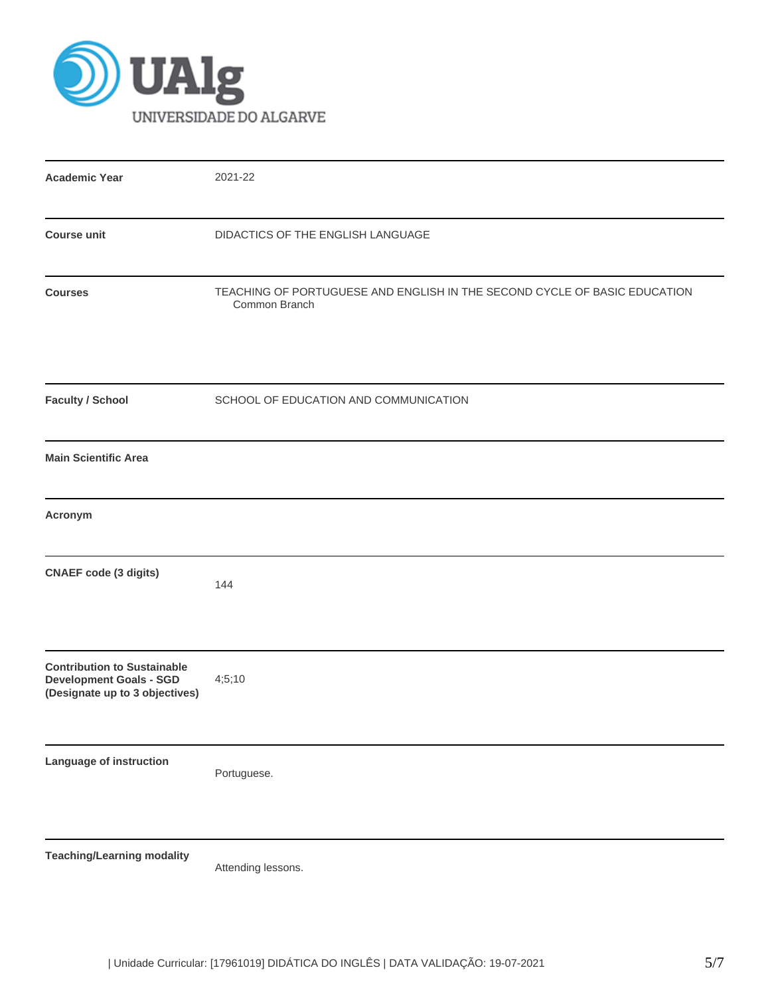

| <b>Academic Year</b>                                                                                   | 2021-22                                                                                    |
|--------------------------------------------------------------------------------------------------------|--------------------------------------------------------------------------------------------|
| <b>Course unit</b>                                                                                     | DIDACTICS OF THE ENGLISH LANGUAGE                                                          |
| <b>Courses</b>                                                                                         | TEACHING OF PORTUGUESE AND ENGLISH IN THE SECOND CYCLE OF BASIC EDUCATION<br>Common Branch |
| <b>Faculty / School</b>                                                                                | SCHOOL OF EDUCATION AND COMMUNICATION                                                      |
| <b>Main Scientific Area</b>                                                                            |                                                                                            |
| Acronym                                                                                                |                                                                                            |
| <b>CNAEF</b> code (3 digits)                                                                           | 144                                                                                        |
| <b>Contribution to Sustainable</b><br><b>Development Goals - SGD</b><br>(Designate up to 3 objectives) | 4;5;10                                                                                     |
| Language of instruction                                                                                | Portuguese.                                                                                |
| <b>Teaching/Learning modality</b>                                                                      | Attending lessons.                                                                         |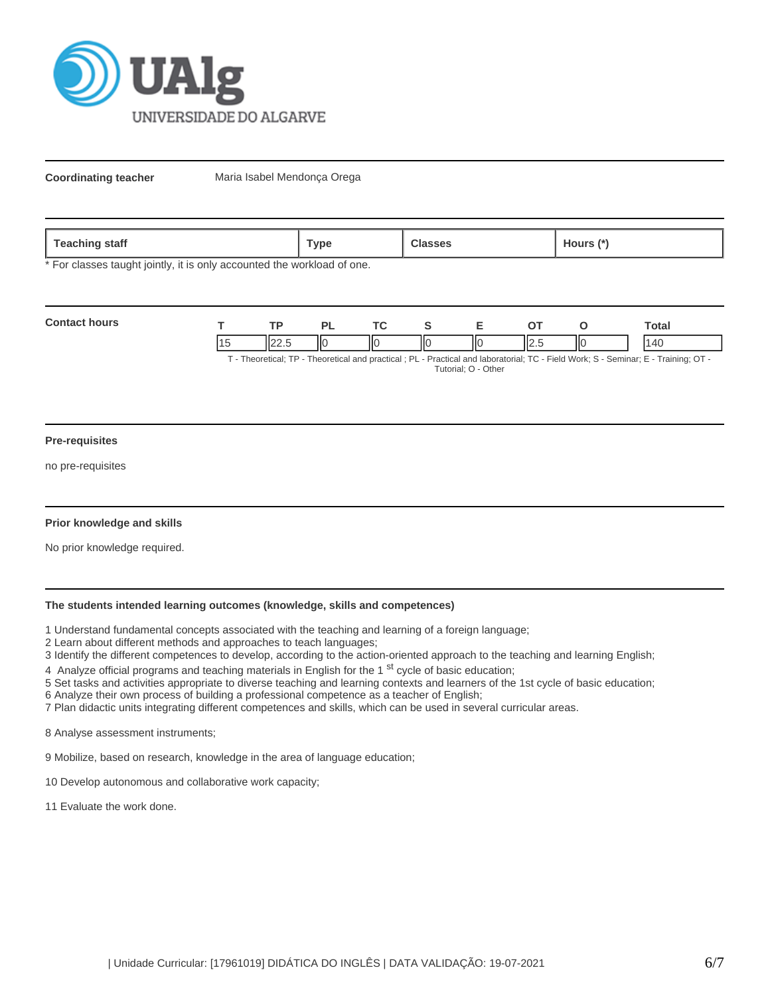

**Coordinating teacher** Maria Isabel Mendonça Orega

| <b>Teaching</b><br>staff | Гуре | $\mathbf{r}$<br>.1ours '<br>$\sim$ |
|--------------------------|------|------------------------------------|
|                          |      |                                    |

\* For classes taught jointly, it is only accounted the workload of one.

| <b>Contact hours</b> | <b>TD</b> | DΙ |     |    |       |     | ⊺otal                                                                                                                       |
|----------------------|-----------|----|-----|----|-------|-----|-----------------------------------------------------------------------------------------------------------------------------|
|                      |           | ШC | IІс | ШC | II2.5 | IІC | 140                                                                                                                         |
|                      |           |    |     |    |       |     | T. Theoretical: TD. Theoretical and propried : DI. Droptical and laboraterial: TO. Field Warles O. Cominem E. Training: OT. |

T - Theoretical; TP - Theoretical and practical ; PL - Practical and laboratorial; TC - Field Work; S - Seminar; E - Training; OT - Tutorial; O - Other

#### **Pre-requisites**

no pre-requisites

### **Prior knowledge and skills**

No prior knowledge required.

## **The students intended learning outcomes (knowledge, skills and competences)**

1 Understand fundamental concepts associated with the teaching and learning of a foreign language;

2 Learn about different methods and approaches to teach languages;

3 Identify the different competences to develop, according to the action-oriented approach to the teaching and learning English;

4 Analyze official programs and teaching materials in English for the 1<sup>st</sup> cycle of basic education;

5 Set tasks and activities appropriate to diverse teaching and learning contexts and learners of the 1st cycle of basic education; 6 Analyze their own process of building a professional competence as a teacher of English;

7 Plan didactic units integrating different competences and skills, which can be used in several curricular areas.

8 Analyse assessment instruments;

9 Mobilize, based on research, knowledge in the area of language education;

- 10 Develop autonomous and collaborative work capacity;
- 11 Evaluate the work done.